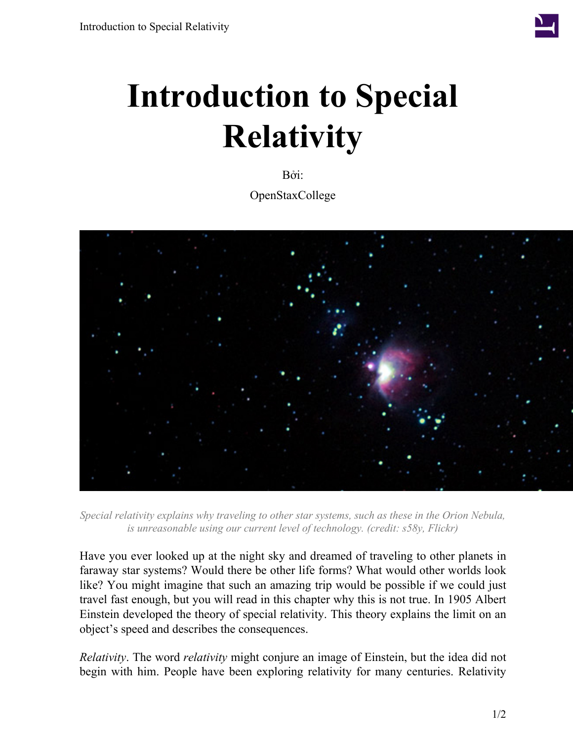

## **Introduction to Special Relativity**

Bởi: OpenStaxCollege



*Special relativity explains why traveling to other star systems, such as these in the Orion Nebula, is unreasonable using our current level of technology. (credit: s58y, Flickr)*

Have you ever looked up at the night sky and dreamed of traveling to other planets in faraway star systems? Would there be other life forms? What would other worlds look like? You might imagine that such an amazing trip would be possible if we could just travel fast enough, but you will read in this chapter why this is not true. In 1905 Albert Einstein developed the theory of special relativity. This theory explains the limit on an object's speed and describes the consequences.

*Relativity*. The word *relativity* might conjure an image of Einstein, but the idea did not begin with him. People have been exploring relativity for many centuries. Relativity